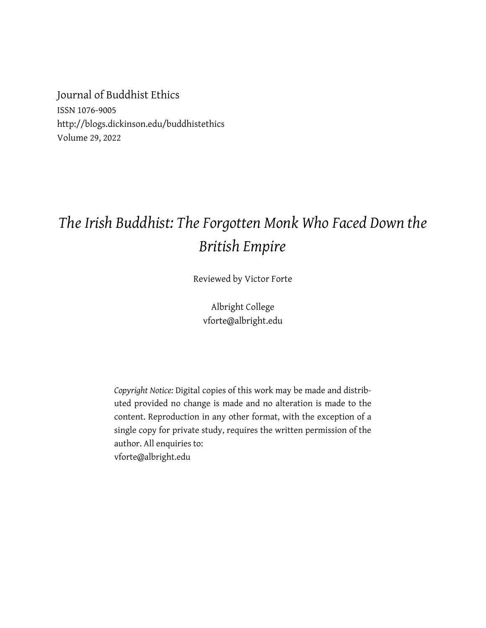Journal of Buddhist Ethics ISSN 1076-9005 http://blogs.dickinson.edu/buddhistethics Volume 29, 2022

## *The Irish Buddhist: The Forgotten Monk Who Faced Down the British Empire*

Reviewed by Victor Forte

Albright College vforte@albright.edu

*Copyright Notice:* Digital copies of this work may be made and distributed provided no change is made and no alteration is made to the content. Reproduction in any other format, with the exception of a single copy for private study, requires the written permission of the author. All enquiries to: vforte@albright.edu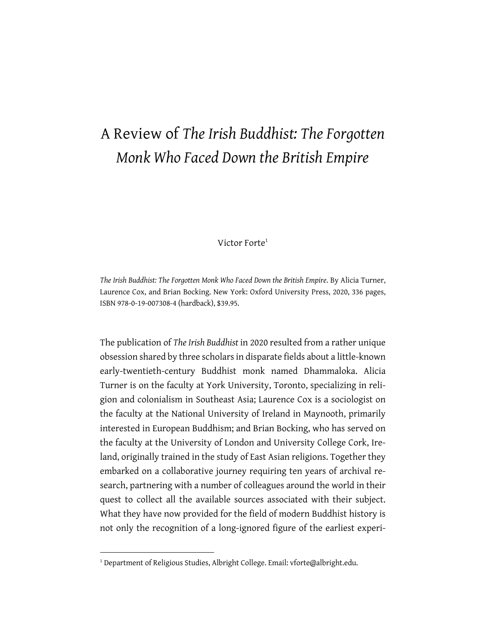## A Review of *The Irish Buddhist: The Forgotten Monk Who Faced Down the British Empire*

Victor Forte<sup>1</sup>

*The Irish Buddhist: The Forgotten Monk Who Faced Down the British Empire*. By Alicia Turner, Laurence Cox, and Brian Bocking. New York: Oxford University Press, 2020, 336 pages, ISBN 978-0-19-007308-4 (hardback), \$39.95.

The publication of *The Irish Buddhist* in 2020 resulted from a rather unique obsession shared by three scholars in disparate fields about a little-known early-twentieth-century Buddhist monk named Dhammaloka. Alicia Turner is on the faculty at York University, Toronto, specializing in religion and colonialism in Southeast Asia; Laurence Cox is a sociologist on the faculty at the National University of Ireland in Maynooth, primarily interested in European Buddhism; and Brian Bocking, who has served on the faculty at the University of London and University College Cork, Ireland, originally trained in the study of East Asian religions. Together they embarked on a collaborative journey requiring ten years of archival research, partnering with a number of colleagues around the world in their quest to collect all the available sources associated with their subject. What they have now provided for the field of modern Buddhist history is not only the recognition of a long-ignored figure of the earliest experi-

<sup>&</sup>lt;sup>1</sup> Department of Religious Studies, Albright College. Email: vforte@albright.edu.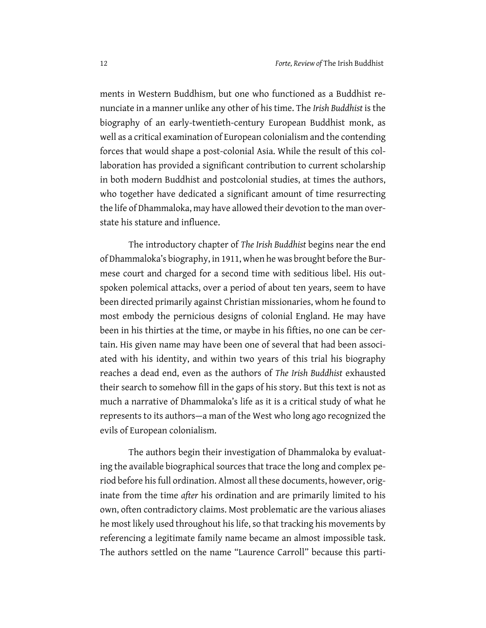ments in Western Buddhism, but one who functioned as a Buddhist renunciate in a manner unlike any other of his time. The *Irish Buddhist* is the biography of an early-twentieth-century European Buddhist monk, as well as a critical examination of European colonialism and the contending forces that would shape a post-colonial Asia. While the result of this collaboration has provided a significant contribution to current scholarship in both modern Buddhist and postcolonial studies, at times the authors, who together have dedicated a significant amount of time resurrecting the life of Dhammaloka, may have allowed their devotion to the man overstate his stature and influence.

The introductory chapter of *The Irish Buddhist* begins near the end of Dhammaloka's biography, in 1911, when he was brought before the Burmese court and charged for a second time with seditious libel. His outspoken polemical attacks, over a period of about ten years, seem to have been directed primarily against Christian missionaries, whom he found to most embody the pernicious designs of colonial England. He may have been in his thirties at the time, or maybe in his fifties, no one can be certain. His given name may have been one of several that had been associated with his identity, and within two years of this trial his biography reaches a dead end, even as the authors of *The Irish Buddhist* exhausted their search to somehow fill in the gaps of his story. But this text is not as much a narrative of Dhammaloka's life as it is a critical study of what he represents to its authors—a man of the West who long ago recognized the evils of European colonialism.

The authors begin their investigation of Dhammaloka by evaluating the available biographical sources that trace the long and complex period before his full ordination. Almost all these documents, however, originate from the time *after* his ordination and are primarily limited to his own, often contradictory claims. Most problematic are the various aliases he most likely used throughout his life, so that tracking his movements by referencing a legitimate family name became an almost impossible task. The authors settled on the name "Laurence Carroll" because this parti-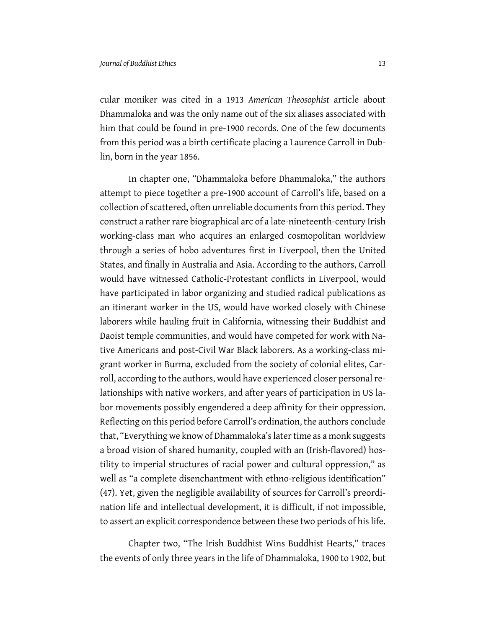cular moniker was cited in a 1913 *American Theosophist* article about Dhammaloka and was the only name out of the six aliases associated with him that could be found in pre-1900 records. One of the few documents from this period was a birth certificate placing a Laurence Carroll in Dublin, born in the year 1856.

In chapter one, "Dhammaloka before Dhammaloka," the authors attempt to piece together a pre-1900 account of Carroll's life, based on a collection of scattered, often unreliable documents from this period. They construct a rather rare biographical arc of a late-nineteenth-century Irish working-class man who acquires an enlarged cosmopolitan worldview through a series of hobo adventures first in Liverpool, then the United States, and finally in Australia and Asia. According to the authors, Carroll would have witnessed Catholic-Protestant conflicts in Liverpool, would have participated in labor organizing and studied radical publications as an itinerant worker in the US, would have worked closely with Chinese laborers while hauling fruit in California, witnessing their Buddhist and Daoist temple communities, and would have competed for work with Native Americans and post-Civil War Black laborers. As a working-class migrant worker in Burma, excluded from the society of colonial elites, Carroll, according to the authors, would have experienced closer personal relationships with native workers, and after years of participation in US labor movements possibly engendered a deep affinity for their oppression. Reflecting on this period before Carroll's ordination, the authors conclude that, "Everything we know of Dhammaloka's later time as a monk suggests a broad vision of shared humanity, coupled with an (Irish-flavored) hostility to imperial structures of racial power and cultural oppression," as well as "a complete disenchantment with ethno-religious identification" (47). Yet, given the negligible availability of sources for Carroll's preordination life and intellectual development, it is difficult, if not impossible, to assert an explicit correspondence between these two periods of his life.

Chapter two, "The Irish Buddhist Wins Buddhist Hearts," traces the events of only three years in the life of Dhammaloka, 1900 to 1902, but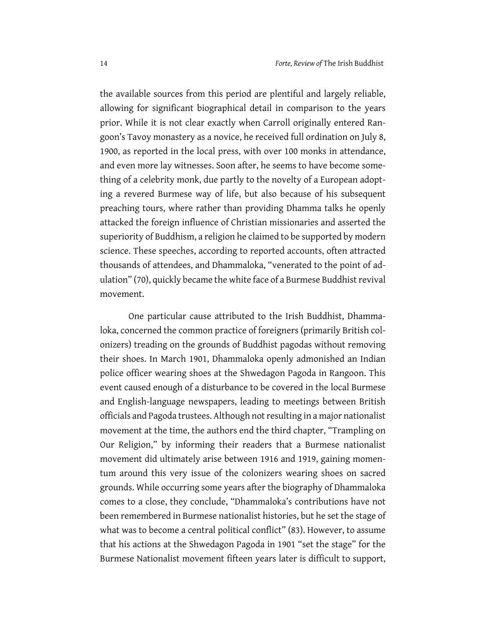the available sources from this period are plentiful and largely reliable, allowing for significant biographical detail in comparison to the years prior. While it is not clear exactly when Carroll originally entered Rangoon's Tavoy monastery as a novice, he received full ordination on July 8, 1900, as reported in the local press, with over 100 monks in attendance, and even more lay witnesses. Soon after, he seems to have become something of a celebrity monk, due partly to the novelty of a European adopting a revered Burmese way of life, but also because of his subsequent preaching tours, where rather than providing Dhamma talks he openly attacked the foreign influence of Christian missionaries and asserted the superiority of Buddhism, a religion he claimed to be supported by modern science. These speeches, according to reported accounts, often attracted thousands of attendees, and Dhammaloka, "venerated to the point of adulation" (70), quickly became the white face of a Burmese Buddhist revival movement.

One particular cause attributed to the Irish Buddhist, Dhammaloka, concerned the common practice of foreigners (primarily British colonizers) treading on the grounds of Buddhist pagodas without removing their shoes. In March 1901, Dhammaloka openly admonished an Indian police officer wearing shoes at the Shwedagon Pagoda in Rangoon. This event caused enough of a disturbance to be covered in the local Burmese and English-language newspapers, leading to meetings between British officials and Pagoda trustees. Although not resulting in a major nationalist movement at the time, the authors end the third chapter, "Trampling on Our Religion," by informing their readers that a Burmese nationalist movement did ultimately arise between 1916 and 1919, gaining momentum around this very issue of the colonizers wearing shoes on sacred grounds. While occurring some years after the biography of Dhammaloka comes to a close, they conclude, "Dhammaloka's contributions have not been remembered in Burmese nationalist histories, but he set the stage of what was to become a central political conflict" (83). However, to assume that his actions at the Shwedagon Pagoda in 1901 "set the stage" for the Burmese Nationalist movement fifteen years later is difficult to support,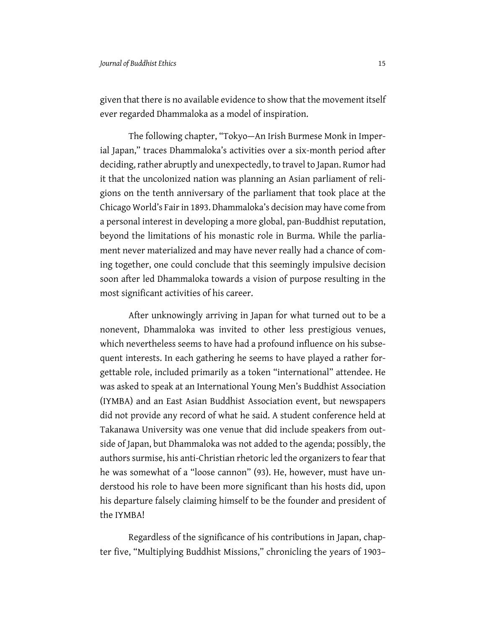given that there is no available evidence to show that the movement itself ever regarded Dhammaloka as a model of inspiration.

The following chapter, "Tokyo—An Irish Burmese Monk in Imperial Japan," traces Dhammaloka's activities over a six-month period after deciding, rather abruptly and unexpectedly, to travel to Japan. Rumor had it that the uncolonized nation was planning an Asian parliament of religions on the tenth anniversary of the parliament that took place at the Chicago World's Fair in 1893. Dhammaloka's decision may have come from a personal interest in developing a more global, pan-Buddhist reputation, beyond the limitations of his monastic role in Burma. While the parliament never materialized and may have never really had a chance of coming together, one could conclude that this seemingly impulsive decision soon after led Dhammaloka towards a vision of purpose resulting in the most significant activities of his career.

After unknowingly arriving in Japan for what turned out to be a nonevent, Dhammaloka was invited to other less prestigious venues, which nevertheless seems to have had a profound influence on his subsequent interests. In each gathering he seems to have played a rather forgettable role, included primarily as a token "international" attendee. He was asked to speak at an International Young Men's Buddhist Association (IYMBA) and an East Asian Buddhist Association event, but newspapers did not provide any record of what he said. A student conference held at Takanawa University was one venue that did include speakers from outside of Japan, but Dhammaloka was not added to the agenda; possibly, the authors surmise, his anti-Christian rhetoric led the organizers to fear that he was somewhat of a "loose cannon" (93). He, however, must have understood his role to have been more significant than his hosts did, upon his departure falsely claiming himself to be the founder and president of the IYMBA!

Regardless of the significance of his contributions in Japan, chapter five, "Multiplying Buddhist Missions," chronicling the years of 1903–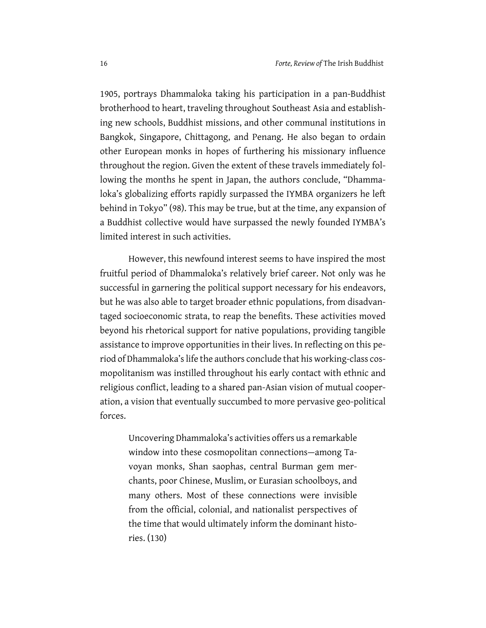1905, portrays Dhammaloka taking his participation in a pan-Buddhist brotherhood to heart, traveling throughout Southeast Asia and establishing new schools, Buddhist missions, and other communal institutions in Bangkok, Singapore, Chittagong, and Penang. He also began to ordain other European monks in hopes of furthering his missionary influence throughout the region. Given the extent of these travels immediately following the months he spent in Japan, the authors conclude, "Dhammaloka's globalizing efforts rapidly surpassed the IYMBA organizers he left behind in Tokyo" (98). This may be true, but at the time, any expansion of a Buddhist collective would have surpassed the newly founded IYMBA's limited interest in such activities.

However, this newfound interest seems to have inspired the most fruitful period of Dhammaloka's relatively brief career. Not only was he successful in garnering the political support necessary for his endeavors, but he was also able to target broader ethnic populations, from disadvantaged socioeconomic strata, to reap the benefits. These activities moved beyond his rhetorical support for native populations, providing tangible assistance to improve opportunities in their lives. In reflecting on this period of Dhammaloka's life the authors conclude that his working-class cosmopolitanism was instilled throughout his early contact with ethnic and religious conflict, leading to a shared pan-Asian vision of mutual cooperation, a vision that eventually succumbed to more pervasive geo-political forces.

Uncovering Dhammaloka's activities offers us a remarkable window into these cosmopolitan connections—among Tavoyan monks, Shan saophas, central Burman gem merchants, poor Chinese, Muslim, or Eurasian schoolboys, and many others. Most of these connections were invisible from the official, colonial, and nationalist perspectives of the time that would ultimately inform the dominant histories. (130)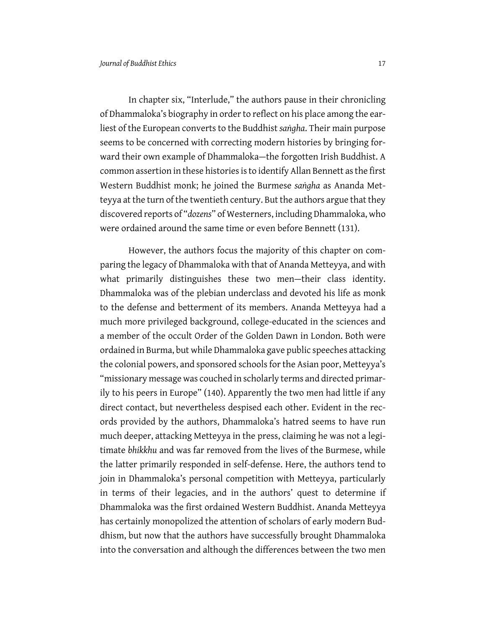In chapter six, "Interlude," the authors pause in their chronicling of Dhammaloka's biography in order to reflect on his place among the earliest of the European converts to the Buddhist *saṅgha*. Their main purpose seems to be concerned with correcting modern histories by bringing forward their own example of Dhammaloka—the forgotten Irish Buddhist. A common assertion in these histories is to identify Allan Bennett as the first Western Buddhist monk; he joined the Burmese *saṅgha* as Ananda Metteyya at the turn of the twentieth century. But the authors argue that they discovered reports of "*dozens*" of Westerners, including Dhammaloka, who were ordained around the same time or even before Bennett (131).

However, the authors focus the majority of this chapter on comparing the legacy of Dhammaloka with that of Ananda Metteyya, and with what primarily distinguishes these two men—their class identity. Dhammaloka was of the plebian underclass and devoted his life as monk to the defense and betterment of its members. Ananda Metteyya had a much more privileged background, college-educated in the sciences and a member of the occult Order of the Golden Dawn in London. Both were ordained in Burma, but while Dhammaloka gave public speeches attacking the colonial powers, and sponsored schools for the Asian poor, Metteyya's "missionary message was couched in scholarly terms and directed primarily to his peers in Europe" (140). Apparently the two men had little if any direct contact, but nevertheless despised each other. Evident in the records provided by the authors, Dhammaloka's hatred seems to have run much deeper, attacking Metteyya in the press, claiming he was not a legitimate *bhikkhu* and was far removed from the lives of the Burmese, while the latter primarily responded in self-defense. Here, the authors tend to join in Dhammaloka's personal competition with Metteyya, particularly in terms of their legacies, and in the authors' quest to determine if Dhammaloka was the first ordained Western Buddhist. Ananda Metteyya has certainly monopolized the attention of scholars of early modern Buddhism, but now that the authors have successfully brought Dhammaloka into the conversation and although the differences between the two men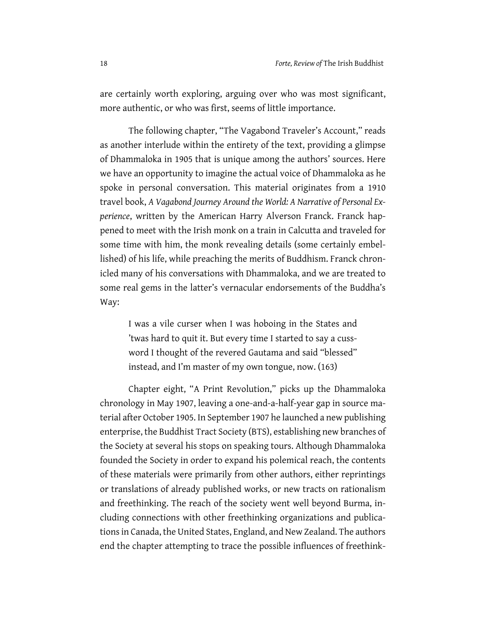are certainly worth exploring, arguing over who was most significant, more authentic, or who was first, seems of little importance.

The following chapter, "The Vagabond Traveler's Account," reads as another interlude within the entirety of the text, providing a glimpse of Dhammaloka in 1905 that is unique among the authors' sources. Here we have an opportunity to imagine the actual voice of Dhammaloka as he spoke in personal conversation. This material originates from a 1910 travel book, *A Vagabond Journey Around the World: A Narrative of Personal Experience*, written by the American Harry Alverson Franck. Franck happened to meet with the Irish monk on a train in Calcutta and traveled for some time with him, the monk revealing details (some certainly embellished) of his life, while preaching the merits of Buddhism. Franck chronicled many of his conversations with Dhammaloka, and we are treated to some real gems in the latter's vernacular endorsements of the Buddha's Way:

I was a vile curser when I was hoboing in the States and 'twas hard to quit it. But every time I started to say a cussword I thought of the revered Gautama and said "blessed" instead, and I'm master of my own tongue, now. (163)

Chapter eight, "A Print Revolution," picks up the Dhammaloka chronology in May 1907, leaving a one-and-a-half-year gap in source material after October 1905. In September 1907 he launched a new publishing enterprise, the Buddhist Tract Society (BTS), establishing new branches of the Society at several his stops on speaking tours. Although Dhammaloka founded the Society in order to expand his polemical reach, the contents of these materials were primarily from other authors, either reprintings or translations of already published works, or new tracts on rationalism and freethinking. The reach of the society went well beyond Burma, including connections with other freethinking organizations and publications in Canada, the United States, England, and New Zealand. The authors end the chapter attempting to trace the possible influences of freethink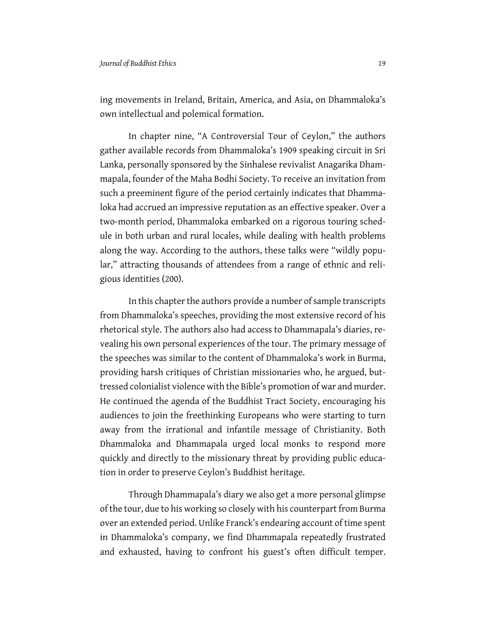ing movements in Ireland, Britain, America, and Asia, on Dhammaloka's own intellectual and polemical formation.

In chapter nine, "A Controversial Tour of Ceylon," the authors gather available records from Dhammaloka's 1909 speaking circuit in Sri Lanka, personally sponsored by the Sinhalese revivalist Anagarika Dhammapala, founder of the Maha Bodhi Society. To receive an invitation from such a preeminent figure of the period certainly indicates that Dhammaloka had accrued an impressive reputation as an effective speaker. Over a two-month period, Dhammaloka embarked on a rigorous touring schedule in both urban and rural locales, while dealing with health problems along the way. According to the authors, these talks were "wildly popular," attracting thousands of attendees from a range of ethnic and religious identities (200).

In this chapter the authors provide a number of sample transcripts from Dhammaloka's speeches, providing the most extensive record of his rhetorical style. The authors also had access to Dhammapala's diaries, revealing his own personal experiences of the tour. The primary message of the speeches was similar to the content of Dhammaloka's work in Burma, providing harsh critiques of Christian missionaries who, he argued, buttressed colonialist violence with the Bible's promotion of war and murder. He continued the agenda of the Buddhist Tract Society, encouraging his audiences to join the freethinking Europeans who were starting to turn away from the irrational and infantile message of Christianity. Both Dhammaloka and Dhammapala urged local monks to respond more quickly and directly to the missionary threat by providing public education in order to preserve Ceylon's Buddhist heritage.

Through Dhammapala's diary we also get a more personal glimpse of the tour, due to his working so closely with his counterpart from Burma over an extended period. Unlike Franck's endearing account of time spent in Dhammaloka's company, we find Dhammapala repeatedly frustrated and exhausted, having to confront his guest's often difficult temper.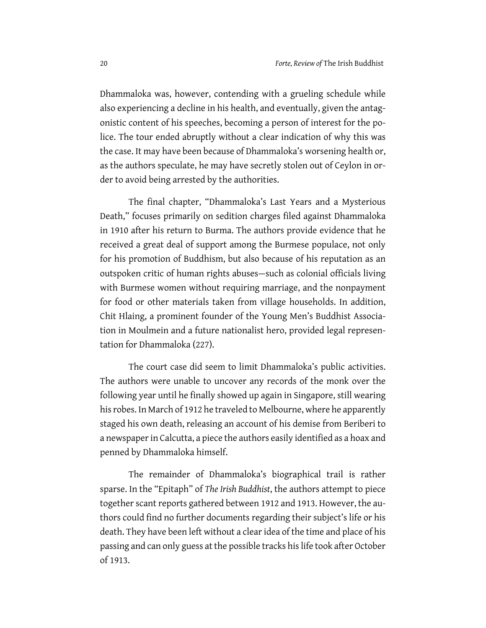Dhammaloka was, however, contending with a grueling schedule while also experiencing a decline in his health, and eventually, given the antagonistic content of his speeches, becoming a person of interest for the police. The tour ended abruptly without a clear indication of why this was the case. It may have been because of Dhammaloka's worsening health or, as the authors speculate, he may have secretly stolen out of Ceylon in order to avoid being arrested by the authorities.

The final chapter, "Dhammaloka's Last Years and a Mysterious Death," focuses primarily on sedition charges filed against Dhammaloka in 1910 after his return to Burma. The authors provide evidence that he received a great deal of support among the Burmese populace, not only for his promotion of Buddhism, but also because of his reputation as an outspoken critic of human rights abuses—such as colonial officials living with Burmese women without requiring marriage, and the nonpayment for food or other materials taken from village households. In addition, Chit Hlaing, a prominent founder of the Young Men's Buddhist Association in Moulmein and a future nationalist hero, provided legal representation for Dhammaloka (227).

The court case did seem to limit Dhammaloka's public activities. The authors were unable to uncover any records of the monk over the following year until he finally showed up again in Singapore, still wearing his robes. In March of 1912 he traveled to Melbourne, where he apparently staged his own death, releasing an account of his demise from Beriberi to a newspaper in Calcutta, a piece the authors easily identified as a hoax and penned by Dhammaloka himself.

The remainder of Dhammaloka's biographical trail is rather sparse. In the "Epitaph" of *The Irish Buddhist*, the authors attempt to piece together scant reports gathered between 1912 and 1913. However, the authors could find no further documents regarding their subject's life or his death. They have been left without a clear idea of the time and place of his passing and can only guess at the possible tracks his life took after October of 1913.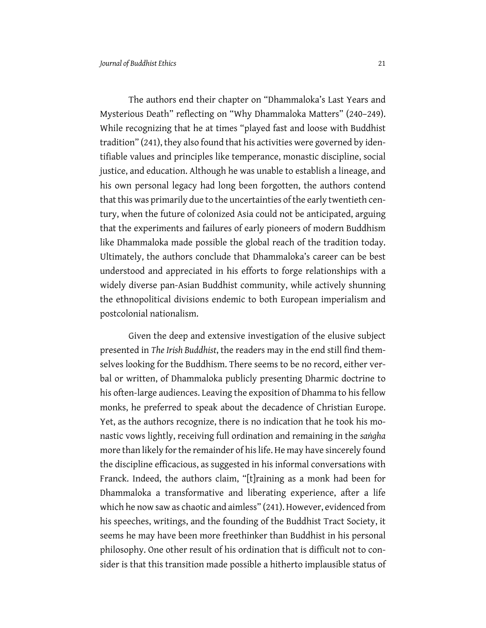The authors end their chapter on "Dhammaloka's Last Years and Mysterious Death" reflecting on "Why Dhammaloka Matters" (240–249). While recognizing that he at times "played fast and loose with Buddhist tradition" (241), they also found that his activities were governed by identifiable values and principles like temperance, monastic discipline, social justice, and education. Although he was unable to establish a lineage, and his own personal legacy had long been forgotten, the authors contend that this was primarily due to the uncertainties of the early twentieth century, when the future of colonized Asia could not be anticipated, arguing that the experiments and failures of early pioneers of modern Buddhism like Dhammaloka made possible the global reach of the tradition today. Ultimately, the authors conclude that Dhammaloka's career can be best understood and appreciated in his efforts to forge relationships with a widely diverse pan-Asian Buddhist community, while actively shunning the ethnopolitical divisions endemic to both European imperialism and postcolonial nationalism.

Given the deep and extensive investigation of the elusive subject presented in *The Irish Buddhist*, the readers may in the end still find themselves looking for the Buddhism. There seems to be no record, either verbal or written, of Dhammaloka publicly presenting Dharmic doctrine to his often-large audiences. Leaving the exposition of Dhamma to his fellow monks, he preferred to speak about the decadence of Christian Europe. Yet, as the authors recognize, there is no indication that he took his monastic vows lightly, receiving full ordination and remaining in the *saṅgha* more than likely for the remainder of his life. He may have sincerely found the discipline efficacious, as suggested in his informal conversations with Franck. Indeed, the authors claim, "[t]raining as a monk had been for Dhammaloka a transformative and liberating experience, after a life which he now saw as chaotic and aimless" (241). However, evidenced from his speeches, writings, and the founding of the Buddhist Tract Society, it seems he may have been more freethinker than Buddhist in his personal philosophy. One other result of his ordination that is difficult not to consider is that this transition made possible a hitherto implausible status of